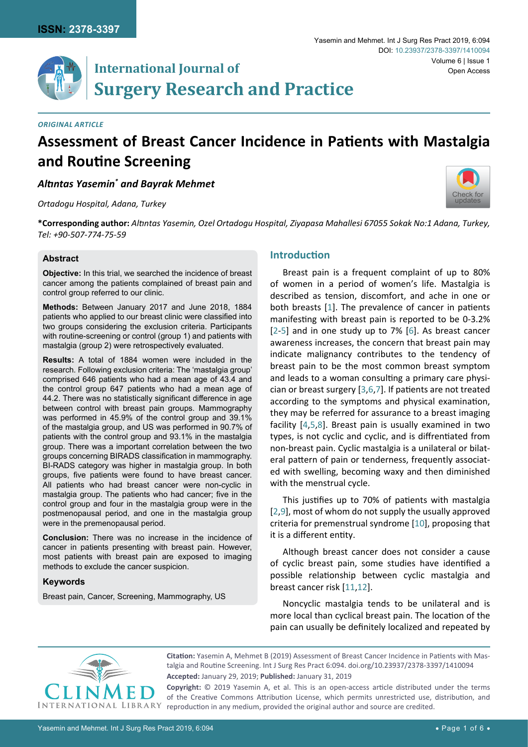# **International Journal of Surgery Research and Practice**

#### *Original Article*

# **Assessment of Breast Cancer Incidence in Patients with Mastalgia and Routine Screening**

*Altıntas Yasemin\* and Bayrak Mehmet*

*Ortadogu Hospital, Adana, Turkey*



**\*Corresponding author:** *Altıntas Yasemin, Ozel Ortadogu Hospital, Ziyapasa Mahallesi 67055 Sokak No:1 Adana, Turkey, Tel: +90-507-774-75-59*

#### **Abstract**

**Objective:** In this trial, we searched the incidence of breast cancer among the patients complained of breast pain and control group referred to our clinic.

**Methods:** Between January 2017 and June 2018, 1884 patients who applied to our breast clinic were classified into two groups considering the exclusion criteria. Participants with routine-screening or control (group 1) and patients with mastalgia (group 2) were retrospectively evaluated.

**Results:** A total of 1884 women were included in the research. Following exclusion criteria: The 'mastalgia group' comprised 646 patients who had a mean age of 43.4 and the control group 647 patients who had a mean age of 44.2. There was no statistically significant difference in age between control with breast pain groups. Mammography was performed in 45.9% of the control group and 39.1% of the mastalgia group, and US was performed in 90.7% of patients with the control group and 93.1% in the mastalgia group. There was a important correlation between the two groups concerning BIRADS classification in mammography. BI-RADS category was higher in mastalgia group. In both groups, five patients were found to have breast cancer. All patients who had breast cancer were non-cyclic in mastalgia group. The patients who had cancer; five in the control group and four in the mastalgia group were in the postmenopausal period, and one in the mastalgia group were in the premenopausal period.

**Conclusion:** There was no increase in the incidence of cancer in patients presenting with breast pain. However, most patients with breast pain are exposed to imaging methods to exclude the cancer suspicion.

## **Keywords**

Breast pain, Cancer, Screening, Mammography, US

## **Introduction**

Breast pain is a frequent complaint of up to 80% of women in a period of women's life. Mastalgia is described as tension, discomfort, and ache in one or both breasts [[1](#page-4-0)]. The prevalence of cancer in patients manifesting with breast pain is reported to be 0-3.2% [[2-](#page-4-1)[5](#page-4-2)] and in one study up to 7% [[6\]](#page-4-3). As breast cancer awareness increases, the concern that breast pain may indicate malignancy contributes to the tendency of breast pain to be the most common breast symptom and leads to a woman consulting a primary care physician or breast surgery [\[3](#page-4-4),[6](#page-4-3),[7](#page-4-5)]. If patients are not treated according to the symptoms and physical examination, they may be referred for assurance to a breast imaging facility [[4](#page-4-6),[5](#page-4-2),[8\]](#page-4-7). Breast pain is usually examined in two types, is not cyclic and cyclic, and is diffrentiated from non-breast pain. Cyclic mastalgia is a unilateral or bilateral pattern of pain or tenderness, frequently associated with swelling, becoming waxy and then diminished with the menstrual cycle.

This justifies up to 70% of patients with mastalgia [[2](#page-4-1)[,9](#page-4-8)], most of whom do not supply the usually approved criteria for premenstrual syndrome [[10](#page-4-9)], proposing that it is a different entity.

Although breast cancer does not consider a cause of cyclic breast pain, some studies have identified a possible relationship between cyclic mastalgia and breast cancer risk [[11](#page-4-10)[,12](#page-4-11)].

Noncyclic mastalgia tends to be unilateral and is more local than cyclical breast pain. The location of the pain can usually be definitely localized and repeated by



**Citation:** Yasemin A, Mehmet B (2019) Assessment of Breast Cancer Incidence in Patients with Mastalgia and Routine Screening. Int J Surg Res Pract 6:094. [doi.org/10.23937/2378-3397/1410094](https://doi.org/10.23937/2378-3397/1410094) **Accepted:** January 29, 2019; **Published:** January 31, 2019

**Copyright:** © 2019 Yasemin A, et al. This is an open-access article distributed under the terms of the Creative Commons Attribution License, which permits unrestricted use, distribution, and reproduction in any medium, provided the original author and source are credited.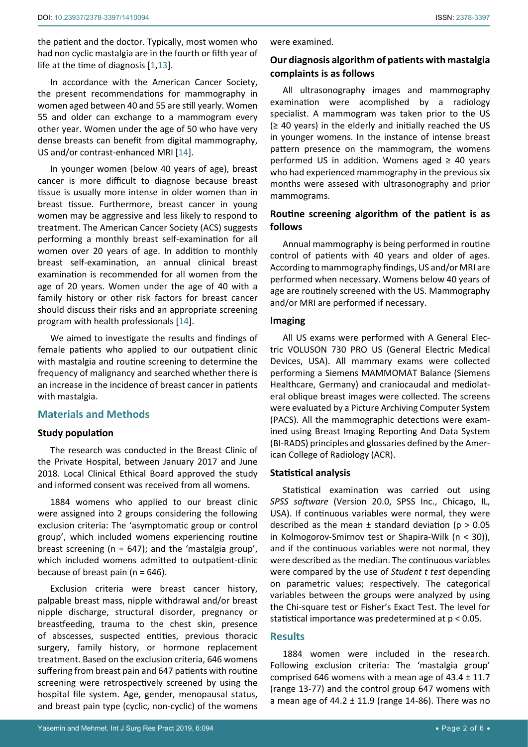the patient and the doctor. Typically, most women who had non cyclic mastalgia are in the fourth or fifth year of life at the time of diagnosis [[1](#page-4-0),[13](#page-4-12)].

In accordance with the American Cancer Society, the present recommendations for mammography in women aged between 40 and 55 are still yearly. Women 55 and older can exchange to a mammogram every other year. Women under the age of 50 who have very dense breasts can benefit from digital mammography, US and/or contrast-enhanced MRI [\[14](#page-5-0)].

In younger women (below 40 years of age), breast cancer is more difficult to diagnose because breast tissue is usually more intense in older women than in breast tissue. Furthermore, breast cancer in young women may be aggressive and less likely to respond to treatment. The American Cancer Society (ACS) suggests performing a monthly breast self-examination for all women over 20 years of age. In addition to monthly breast self-examination, an annual clinical breast examination is recommended for all women from the age of 20 years. Women under the age of 40 with a family history or other risk factors for breast cancer should discuss their risks and an appropriate screening program with health professionals [[14\]](#page-5-0).

We aimed to investigate the results and findings of female patients who applied to our outpatient clinic with mastalgia and routine screening to determine the frequency of malignancy and searched whether there is an increase in the incidence of breast cancer in patients with mastalgia.

## **Materials and Methods**

## **Study population**

The research was conducted in the Breast Clinic of the Private Hospital, between January 2017 and June 2018. Local Clinical Ethical Board approved the study and informed consent was received from all womens.

1884 womens who applied to our breast clinic were assigned into 2 groups considering the following exclusion criteria: The 'asymptomatic group or control group', which included womens experiencing routine breast screening (n = 647); and the 'mastalgia group', which included womens admitted to outpatient-clinic because of breast pain ( $n = 646$ ).

Exclusion criteria were breast cancer history, palpable breast mass, nipple withdrawal and/or breast nipple discharge, structural disorder, pregnancy or breastfeeding, trauma to the chest skin, presence of abscesses, suspected entities, previous thoracic surgery, family history, or hormone replacement treatment. Based on the exclusion criteria, 646 womens suffering from breast pain and 647 patients with routine screening were retrospectively screened by using the hospital file system. Age, gender, menopausal status, and breast pain type (cyclic, non-cyclic) of the womens

were examined.

# **Our diagnosis algorithm of patients with mastalgia complaints is as follows**

All ultrasonography images and mammography examination were acomplished by a radiology specialist. A mammogram was taken prior to the US  $(≥ 40 years)$  in the elderly and initially reached the US in younger womens. In the instance of intense breast pattern presence on the mammogram, the womens performed US in addition. Womens aged  $\geq$  40 years who had experienced mammography in the previous six months were assesed with ultrasonography and prior mammograms.

# **Routine screening algorithm of the patient is as follows**

Annual mammography is being performed in routine control of patients with 40 years and older of ages. According to mammography findings, US and/or MRI are performed when necessary. Womens below 40 years of age are routinely screened with the US. Mammography and/or MRI are performed if necessary.

## **Imaging**

All US exams were performed with A General Electric VOLUSON 730 PRO US (General Electric Medical Devices, USA). All mammary exams were collected performing a Siemens MAMMOMAT Balance (Siemens Healthcare, Germany) and craniocaudal and mediolateral oblique breast images were collected. The screens were evaluated by a Picture Archiving Computer System (PACS). All the mammographic detections were examined using Breast Imaging Reporting And Data System (BI-RADS) principles and glossaries defined by the American College of Radiology (ACR).

## **Statistical analysis**

Statistical examination was carried out using *SPSS software* (Version 20.0, SPSS Inc., Chicago, IL, USA). If continuous variables were normal, they were described as the mean  $\pm$  standard deviation ( $p > 0.05$ in Kolmogorov-Smirnov test or Shapira-Wilk (n < 30)), and if the continuous variables were not normal, they were described as the median. The continuous variables were compared by the use of *Student t test* depending on parametric values; respectively. The categorical variables between the groups were analyzed by using the Chi-square test or Fisher's Exact Test. The level for statistical importance was predetermined at p < 0.05.

## **Results**

1884 women were included in the research. Following exclusion criteria: The 'mastalgia group' comprised 646 womens with a mean age of  $43.4 \pm 11.7$ (range 13-77) and the control group 647 womens with a mean age of 44.2  $\pm$  11.9 (range 14-86). There was no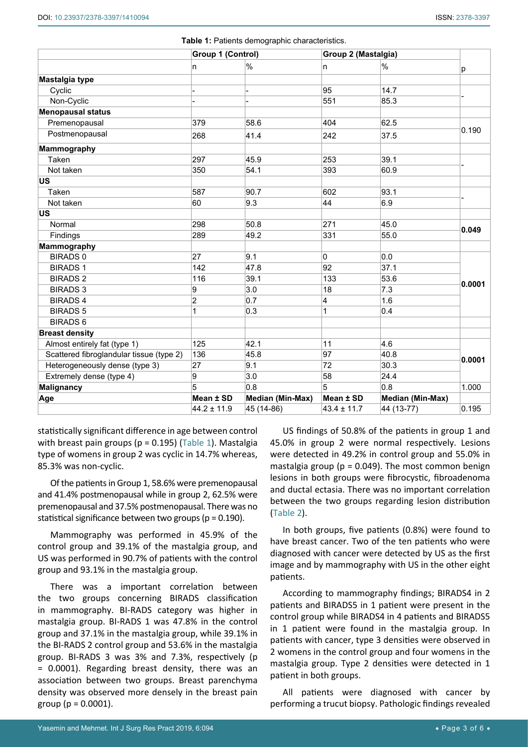|                                          | Group 1 (Control) |                  | Group 2 (Mastalgia) |                  |        |  |
|------------------------------------------|-------------------|------------------|---------------------|------------------|--------|--|
|                                          | n                 | $\%$             | n                   | $\%$             | р      |  |
| Mastalgia type                           |                   |                  |                     |                  |        |  |
| Cyclic                                   |                   |                  | 95                  | 14.7             |        |  |
| Non-Cyclic                               |                   |                  | 551                 | 85.3             |        |  |
| <b>Menopausal status</b>                 |                   |                  |                     |                  |        |  |
| Premenopausal                            | 379               | 58.6             | 404                 | 62.5             | 0.190  |  |
| Postmenopausal                           | 268               | 41.4             | 242                 | 37.5             |        |  |
| <b>Mammography</b>                       |                   |                  |                     |                  |        |  |
| Taken                                    | 297               | 45.9             | 253                 | 39.1             |        |  |
| Not taken                                | 350               | 54.1             | 393                 | 60.9             |        |  |
| US                                       |                   |                  |                     |                  |        |  |
| Taken                                    | 587               | 90.7             | 602                 | 93.1             |        |  |
| Not taken                                | 60                | 9.3              | 44                  | 6.9              |        |  |
| <b>US</b>                                |                   |                  |                     |                  |        |  |
| Normal                                   | 298               | 50.8             | 271                 | 45.0             | 0.049  |  |
| Findings                                 | 289               | 49.2             | 331                 | 55.0             |        |  |
| Mammography                              |                   |                  |                     |                  |        |  |
| <b>BIRADS 0</b>                          | 27                | 9.1              | 0                   | 0.0              |        |  |
| <b>BIRADS1</b>                           | 142               | 47.8             | 92                  | 37.1             | 0.0001 |  |
| <b>BIRADS 2</b>                          | 116               | 39.1             | 133                 | 53.6             |        |  |
| <b>BIRADS 3</b>                          | 9                 | 3.0              | 18                  | 7.3              |        |  |
| <b>BIRADS 4</b>                          | $\overline{2}$    | 0.7              | 4                   | 1.6              |        |  |
| <b>BIRADS 5</b>                          | 1                 | 0.3              | 1                   | 0.4              |        |  |
| <b>BIRADS 6</b>                          |                   |                  |                     |                  |        |  |
| <b>Breast density</b>                    |                   |                  |                     |                  |        |  |
| Almost entirely fat (type 1)             | 125               | 42.1             | 11                  | 4.6              |        |  |
| Scattered fibroglandular tissue (type 2) | 136               | 45.8             | 97                  | 40.8             |        |  |
| Heterogeneously dense (type 3)           | 27                | 9.1              | 72                  | 30.3             | 0.0001 |  |
| Extremely dense (type 4)                 | 9                 | 3.0              | 58                  | 24.4             |        |  |
| <b>Malignancy</b>                        | 5                 | 0.8              | 5                   | 0.8              | 1.000  |  |
| Age                                      | Mean ± SD         | Median (Min-Max) | Mean ± SD           | Median (Min-Max) |        |  |
|                                          | $44.2 \pm 11.9$   | 45 (14-86)       | $43.4 \pm 11.7$     | 44 (13-77)       | 0.195  |  |

<span id="page-2-0"></span>**Table 1:** Patients demographic characteristics.

statistically significant difference in age between control with breast pain groups (p = 0.195) ([Table 1](#page-2-0)). Mastalgia type of womens in group 2 was cyclic in 14.7% whereas, 85.3% was non-cyclic.

Of the patients in Group 1, 58.6% were premenopausal and 41.4% postmenopausal while in group 2, 62.5% were premenopausal and 37.5% postmenopausal. There was no statistical significance between two groups (p = 0.190).

Mammography was performed in 45.9% of the control group and 39.1% of the mastalgia group, and US was performed in 90.7% of patients with the control group and 93.1% in the mastalgia group.

There was a important correlation between the two groups concerning BIRADS classification in mammography. BI-RADS category was higher in mastalgia group. BI-RADS 1 was 47.8% in the control group and 37.1% in the mastalgia group, while 39.1% in the BI-RADS 2 control group and 53.6% in the mastalgia group. BI-RADS 3 was 3% and 7.3%, respectively (p = 0.0001). Regarding breast density, there was an association between two groups. Breast parenchyma density was observed more densely in the breast pain group ( $p = 0.0001$ ).

US findings of 50.8% of the patients in group 1 and 45.0% in group 2 were normal respectively. Lesions were detected in 49.2% in control group and 55.0% in mastalgia group ( $p = 0.049$ ). The most common benign lesions in both groups were fibrocystic, fibroadenoma and ductal ectasia. There was no important correlation between the two groups regarding lesion distribution ([Table 2\)](#page-3-0).

In both groups, five patients (0.8%) were found to have breast cancer. Two of the ten patients who were diagnosed with cancer were detected by US as the first image and by mammography with US in the other eight patients.

According to mammography findings; BIRADS4 in 2 patients and BIRADS5 in 1 patient were present in the control group while BIRADS4 in 4 patients and BIRADS5 in 1 patient were found in the mastalgia group. In patients with cancer, type 3 densities were observed in 2 womens in the control group and four womens in the mastalgia group. Type 2 densities were detected in 1 patient in both groups.

All patients were diagnosed with cancer by performing a trucut biopsy. Pathologic findings revealed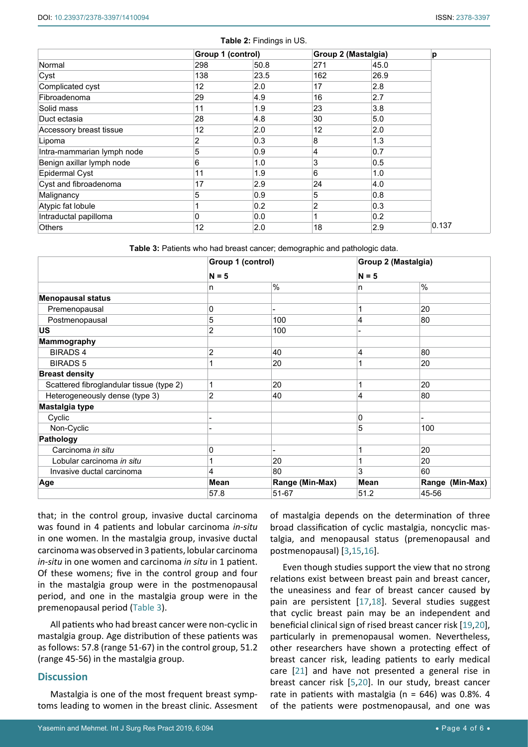<span id="page-3-0"></span>

|                            | Group 1 (control) |      | Group 2 (Mastalgia) |      | p     |
|----------------------------|-------------------|------|---------------------|------|-------|
| Normal                     | 298               | 50.8 | 271                 | 45.0 |       |
| Cyst                       | 138               | 23.5 | 162                 | 26.9 |       |
| Complicated cyst           | 12                | 2.0  | 17                  | 2.8  |       |
| Fibroadenoma               | 29                | 4.9  | 16                  | 2.7  |       |
| Solid mass                 | 11                | 1.9  | 23                  | 3.8  |       |
| Duct ectasia               | 28                | 4.8  | 30                  | 5.0  |       |
| Accessory breast tissue    | 12                | 2.0  | 12                  | 2.0  |       |
| Lipoma                     | 2                 | 0.3  | 8                   | 1.3  |       |
| Intra-mammarian lymph node | 5                 | 0.9  | 4                   | 0.7  |       |
| Benign axillar lymph node  | 6                 | 1.0  | 3                   | 0.5  |       |
| <b>Epidermal Cyst</b>      | 11                | 1.9  | 6                   | 1.0  |       |
| Cyst and fibroadenoma      | 17                | 2.9  | 24                  | 4.0  |       |
| Malignancy                 | 5                 | 0.9  | 5                   | 0.8  |       |
| Atypic fat lobule          |                   | 0.2  | 2                   | 0.3  |       |
| Intraductal papilloma      | 0                 | 0.0  |                     | 0.2  |       |
| <b>Others</b>              | 12                | 2.0  | 18                  | 2.9  | 0.137 |

<span id="page-3-1"></span>**Table 3:** Patients who had breast cancer; demographic and pathologic data.

|                                          | Group 1 (control)<br>$N = 5$ |                 | Group 2 (Mastalgia) |                 |
|------------------------------------------|------------------------------|-----------------|---------------------|-----------------|
|                                          |                              |                 | $N = 5$             |                 |
|                                          | n                            | $\%$            | n                   | $\frac{0}{0}$   |
| <b>Menopausal status</b>                 |                              |                 |                     |                 |
| Premenopausal                            | 0                            |                 | 1                   | 20              |
| Postmenopausal                           | 5                            | 100             | 4                   | 80              |
| <b>US</b>                                | 2                            | 100             |                     |                 |
| <b>Mammography</b>                       |                              |                 |                     |                 |
| <b>BIRADS4</b>                           | $\overline{2}$               | 40              | 4                   | 80              |
| <b>BIRADS 5</b>                          |                              | 20              |                     | 20              |
| <b>Breast density</b>                    |                              |                 |                     |                 |
| Scattered fibroglandular tissue (type 2) | 1                            | 20              | 1                   | 20              |
| Heterogeneously dense (type 3)           | 2                            | 40              | 4                   | 80              |
| Mastalgia type                           |                              |                 |                     |                 |
| Cyclic                                   |                              |                 | 0                   |                 |
| Non-Cyclic                               |                              |                 | 5                   | 100             |
| Pathology                                |                              |                 |                     |                 |
| Carcinoma in situ                        | 0                            |                 | 1                   | 20              |
| Lobular carcinoma in situ                |                              | 20              |                     | 20              |
| Invasive ductal carcinoma                | 4                            | 80              | 3                   | 60              |
| Age                                      | Mean                         | Range (Min-Max) | Mean                | Range (Min-Max) |
|                                          | 57.8                         | 51-67           | 51.2                | 45-56           |

that; in the control group, invasive ductal carcinoma was found in 4 patients and lobular carcinoma *in-situ* in one women. In the mastalgia group, invasive ductal carcinoma was observed in 3 patients, lobular carcinoma *in-situ* in one women and carcinoma *in situ* in 1 patient. Of these womens; five in the control group and four in the mastalgia group were in the postmenopausal period, and one in the mastalgia group were in the premenopausal period ([Table 3](#page-3-1)).

All patients who had breast cancer were non-cyclic in mastalgia group. Age distribution of these patients was as follows: 57.8 (range 51-67) in the control group, 51.2 (range 45-56) in the mastalgia group.

# **Discussion**

Mastalgia is one of the most frequent breast symptoms leading to women in the breast clinic. Assesment of mastalgia depends on the determination of three broad classification of cyclic mastalgia, noncyclic mastalgia, and menopausal status (premenopausal and postmenopausal) [\[3](#page-4-4),[15,](#page-5-1)[16\]](#page-5-2).

Even though studies support the view that no strong relations exist between breast pain and breast cancer, the uneasiness and fear of breast cancer caused by pain are persistent [\[17](#page-5-3),[18](#page-5-4)]. Several studies suggest that cyclic breast pain may be an independent and beneficial clinical sign of rised breast cancer risk [[19](#page-5-5)[,20\]](#page-5-6), particularly in premenopausal women. Nevertheless, other researchers have shown a protecting effect of breast cancer risk, leading patients to early medical care [[21](#page-5-7)] and have not presented a general rise in breast cancer risk [[5,](#page-4-2)[20](#page-5-6)]. In our study, breast cancer rate in patients with mastalgia ( $n = 646$ ) was 0.8%. 4 of the patients were postmenopausal, and one was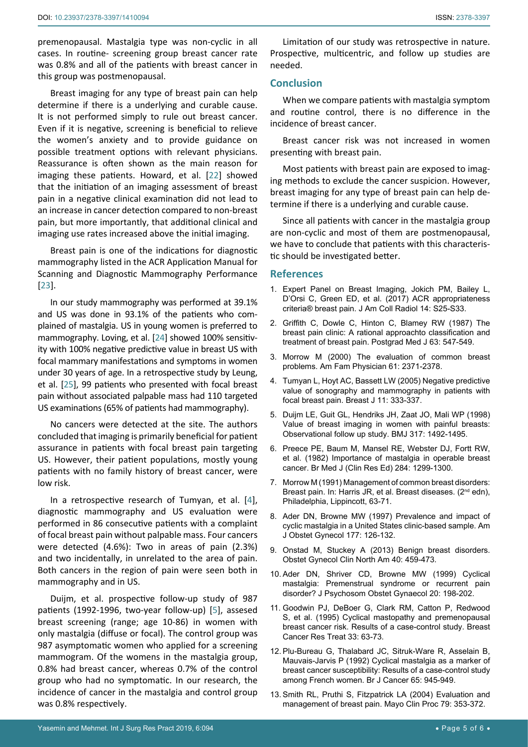premenopausal. Mastalgia type was non-cyclic in all cases. In routine- screening group breast cancer rate was 0.8% and all of the patients with breast cancer in this group was postmenopausal.

Breast imaging for any type of breast pain can help determine if there is a underlying and curable cause. It is not performed simply to rule out breast cancer. Even if it is negative, screening is beneficial to relieve the women's anxiety and to provide guidance on possible treatment options with relevant physicians. Reassurance is often shown as the main reason for imaging these patients. Howard, et al. [[22](#page-5-8)] showed that the initiation of an imaging assessment of breast pain in a negative clinical examination did not lead to an increase in cancer detection compared to non-breast pain, but more importantly, that additional clinical and imaging use rates increased above the initial imaging.

Breast pain is one of the indications for diagnostic mammography listed in the ACR Application Manual for Scanning and Diagnostic Mammography Performance [[23](#page-5-9)].

In our study mammography was performed at 39.1% and US was done in 93.1% of the patients who complained of mastalgia. US in young women is preferred to mammography. Loving, et al. [\[24\]](#page-5-10) showed 100% sensitivity with 100% negative predictive value in breast US with focal mammary manifestations and symptoms in women under 30 years of age. In a retrospective study by Leung, et al. [[25](#page-5-11)], 99 patients who presented with focal breast pain without associated palpable mass had 110 targeted US examinations (65% of patients had mammography).

No cancers were detected at the site. The authors concluded that imaging is primarily beneficial for patient assurance in patients with focal breast pain targeting US. However, their patient populations, mostly young patients with no family history of breast cancer, were low risk.

In a retrospective research of Tumyan, et al. [[4](#page-4-6)], diagnostic mammography and US evaluation were performed in 86 consecutive patients with a complaint of focal breast pain without palpable mass. Four cancers were detected (4.6%): Two in areas of pain (2.3%) and two incidentally, in unrelated to the area of pain. Both cancers in the region of pain were seen both in mammography and in US.

Duijm, et al. prospective follow-up study of 987 patients (1992-1996, two-year follow-up) [[5](#page-4-2)], assesed breast screening (range; age 10-86) in women with only mastalgia (diffuse or focal). The control group was 987 asymptomatic women who applied for a screening mammogram. Of the womens in the mastalgia group, 0.8% had breast cancer, whereas 0.7% of the control group who had no symptomatic. In our research, the incidence of cancer in the mastalgia and control group was 0.8% respectively.

Limitation of our study was retrospective in nature. Prospective, multicentric, and follow up studies are needed.

## **Conclusion**

When we compare patients with mastalgia symptom and routine control, there is no difference in the incidence of breast cancer.

Breast cancer risk was not increased in women presenting with breast pain.

Most patients with breast pain are exposed to imaging methods to exclude the cancer suspicion. However, breast imaging for any type of breast pain can help determine if there is a underlying and curable cause.

Since all patients with cancer in the mastalgia group are non-cyclic and most of them are postmenopausal, we have to conclude that patients with this characteristic should be investigated better.

#### **References**

- <span id="page-4-0"></span>1. [Expert Panel on Breast Imaging, Jokich PM, Bailey L,](https://www.ncbi.nlm.nih.gov/pubmed/28473081)  [D'Orsi C, Green ED, et al. \(2017\) ACR appropriateness](https://www.ncbi.nlm.nih.gov/pubmed/28473081)  [criteria® breast pain. J Am Coll Radiol 14: S25-S33.](https://www.ncbi.nlm.nih.gov/pubmed/28473081)
- <span id="page-4-1"></span>2. [Griffith C, Dowle C, Hinton C, Blamey RW \(1987\) The](https://www.ncbi.nlm.nih.gov/pubmed/3658863)  [breast pain clinic: A rational approachto classification and](https://www.ncbi.nlm.nih.gov/pubmed/3658863)  [treatment of breast pain. Postgrad Med J 63: 547-549.](https://www.ncbi.nlm.nih.gov/pubmed/3658863)
- <span id="page-4-4"></span>3. [Morrow M \(2000\) The evaluation of common breast](https://www.ncbi.nlm.nih.gov/pubmed/10794579)  [problems. Am Fam Physician 61: 2371-2378.](https://www.ncbi.nlm.nih.gov/pubmed/10794579)
- <span id="page-4-6"></span>4. [Tumyan L, Hoyt AC, Bassett LW \(2005\) Negative predictive](https://www.ncbi.nlm.nih.gov/pubmed/16174154)  [value of sonography and mammography in patients with](https://www.ncbi.nlm.nih.gov/pubmed/16174154)  [focal breast pain. Breast J 11: 333-337.](https://www.ncbi.nlm.nih.gov/pubmed/16174154)
- <span id="page-4-2"></span>5. [Duijm LE, Guit GL, Hendriks JH, Zaat JO, Mali WP \(1998\)](https://www.ncbi.nlm.nih.gov/pubmed/9831579)  [Value of breast imaging in women with painful breasts:](https://www.ncbi.nlm.nih.gov/pubmed/9831579)  [Observational follow up study. BMJ 317: 1492-1495.](https://www.ncbi.nlm.nih.gov/pubmed/9831579)
- <span id="page-4-3"></span>6. [Preece PE, Baum M, Mansel RE, Webster DJ, Fortt RW,](https://www.ncbi.nlm.nih.gov/pubmed/6803948)  [et al. \(1982\) Importance of mastalgia in operable breast](https://www.ncbi.nlm.nih.gov/pubmed/6803948)  [cancer. Br Med J \(Clin Res Ed\) 284: 1299-1300.](https://www.ncbi.nlm.nih.gov/pubmed/6803948)
- <span id="page-4-5"></span>7. Morrow M (1991) Management of common breast disorders: Breast pain. In: Harris JR, et al. Breast diseases. (2<sup>nd</sup> edn), Philadelphia, Lippincott, 63-71.
- <span id="page-4-7"></span>8. [Ader DN, Browne MW \(1997\) Prevalence and impact of](https://www.ncbi.nlm.nih.gov/pubmed/9240595)  [cyclic mastalgia in a United States clinic-based sample. Am](https://www.ncbi.nlm.nih.gov/pubmed/9240595)  [J Obstet Gynecol 177: 126-132.](https://www.ncbi.nlm.nih.gov/pubmed/9240595)
- <span id="page-4-8"></span>9. [Onstad M, Stuckey A \(2013\) Benign breast disorders.](https://www.ncbi.nlm.nih.gov/pubmed/24021252)  [Obstet Gynecol Clin North Am 40: 459-473.](https://www.ncbi.nlm.nih.gov/pubmed/24021252)
- <span id="page-4-9"></span>10. [Ader DN, Shriver CD, Browne MW \(1999\) Cyclical](https://www.ncbi.nlm.nih.gov/pubmed/10656154)  [mastalgia: Premenstrual syndrome or recurrent pain](https://www.ncbi.nlm.nih.gov/pubmed/10656154)  [disorder? J Psychosom Obstet Gynaecol 20: 198-202.](https://www.ncbi.nlm.nih.gov/pubmed/10656154)
- <span id="page-4-10"></span>11. [Goodwin PJ, DeBoer G, Clark RM, Catton P, Redwood](https://www.ncbi.nlm.nih.gov/pubmed/7749134)  [S, et al. \(1995\) Cyclical mastopathy and premenopausal](https://www.ncbi.nlm.nih.gov/pubmed/7749134)  [breast cancer risk. Results of a case-control study. Breast](https://www.ncbi.nlm.nih.gov/pubmed/7749134)  [Cancer Res Treat 33: 63-73.](https://www.ncbi.nlm.nih.gov/pubmed/7749134)
- <span id="page-4-11"></span>12. [Plu-Bureau G, Thalabard JC, Sitruk-Ware R, Asselain B,](https://www.ncbi.nlm.nih.gov/pubmed/1616869)  [Mauvais-Jarvis P \(1992\) Cyclical mastalgia as a marker of](https://www.ncbi.nlm.nih.gov/pubmed/1616869)  [breast cancer susceptibility: Results of a case-control study](https://www.ncbi.nlm.nih.gov/pubmed/1616869)  [among French women. Br J Cancer 65: 945-949.](https://www.ncbi.nlm.nih.gov/pubmed/1616869)
- <span id="page-4-12"></span>13. [Smith RL, Pruthi S, Fitzpatrick LA \(2004\) Evaluation and](https://www.ncbi.nlm.nih.gov/pubmed/15008609)  [management of breast pain. Mayo Clin Proc 79: 353-372.](https://www.ncbi.nlm.nih.gov/pubmed/15008609)